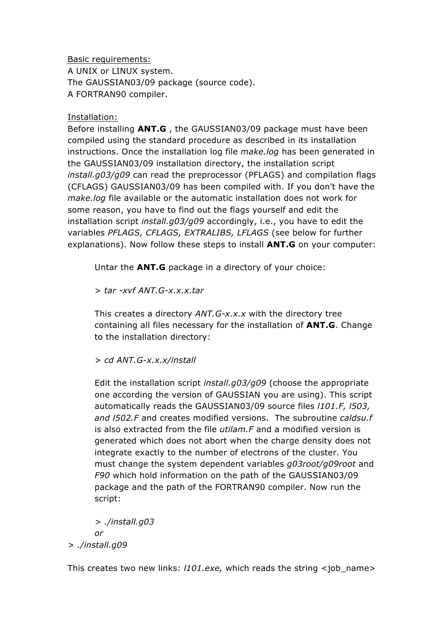Basic requirements: A UNIX or LINUX system. The GAUSSIAN03/09 package (source code). A FORTRAN90 compiler.

## Installation:

Before installing **ANT.G** , the GAUSSIAN03/09 package must have been compiled using the standard procedure as described in its installation instructions. Once the installation log file *make.log* has been generated in the GAUSSIAN03/09 installation directory, the installation script *install.g03/g09* can read the preprocessor (PFLAGS) and compilation flags (CFLAGS) GAUSSIAN03/09 has been compiled with. If you don't have the *make.log* file available or the automatic installation does not work for some reason, you have to find out the flags yourself and edit the installation script *install.g03/g09* accordingly, i.e., you have to edit the variables *PFLAGS, CFLAGS, EXTRALIBS, LFLAGS* (see below for further explanations). Now follow these steps to install **ANT.G** on your computer:

Untar the **ANT.G** package in a directory of your choice:

> *tar -xvf ANT.G-x.x.x.tar*

This creates a directory *ANT.G-x.x.x* with the directory tree containing all files necessary for the installation of **ANT.G**. Change to the installation directory:

*> cd ANT.G-x.x.x/install* 

Edit the installation script *install.g03/g09* (choose the appropriate one according the version of GAUSSIAN you are using). This script automatically reads the GAUSSIAN03/09 source files *l101.F, l503, and l502.F* and creates modified versions. The subroutine *caldsu.f* is also extracted from the file *utilam.F* and a modified version is generated which does not abort when the charge density does not integrate exactly to the number of electrons of the cluster. You must change the system dependent variables *g03root/g09root* and *F90* which hold information on the path of the GAUSSIAN03/09 package and the path of the FORTRAN90 compiler. Now run the script:

*> ./install.g03 or > ./install.g09*

This creates two new links: *l101.exe,* which reads the string <job\_name>